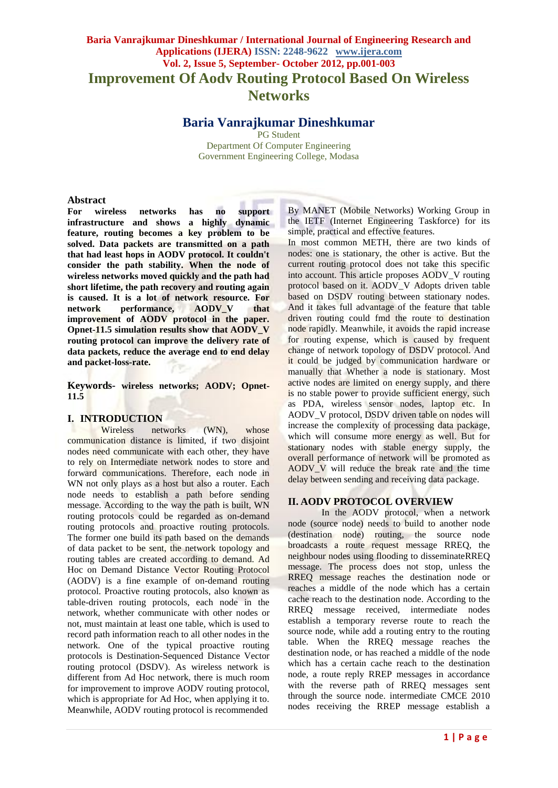# **Baria Vanrajkumar Dineshkumar / International Journal of Engineering Research and Applications (IJERA) ISSN: 2248-9622 www.ijera.com Vol. 2, Issue 5, September- October 2012, pp.001-003 Improvement Of Aodv Routing Protocol Based On Wireless Networks**

## **Baria Vanrajkumar Dineshkumar**

PG Student Department Of Computer Engineering Government Engineering College, Modasa

#### **Abstract**

**For wireless networks has no support infrastructure and shows a highly dynamic feature, routing becomes a key problem to be solved. Data packets are transmitted on a path that had least hops in AODV protocol. It couldn't consider the path stability. When the node of wireless networks moved quickly and the path had short lifetime, the path recovery and routing again is caused. It is a lot of network resource. For network performance, AODV\_V that improvement of AODV protocol in the paper. Opnet-11.5 simulation results show that AODV\_V routing protocol can improve the delivery rate of data packets, reduce the average end to end delay and packet-loss-rate.**

**Keywords- wireless networks; AODV; Opnet-11.5**

#### **I. INTRODUCTION**

Wireless networks (WN), whose communication distance is limited, if two disjoint nodes need communicate with each other, they have to rely on Intermediate network nodes to store and forward communications. Therefore, each node in WN not only plays as a host but also a router. Each node needs to establish a path before sending message. According to the way the path is built, WN routing protocols could be regarded as on-demand routing protocols and proactive routing protocols. The former one build its path based on the demands of data packet to be sent, the network topology and routing tables are created according to demand. Ad Hoc on Demand Distance Vector Routing Protocol (AODV) is a fine example of on-demand routing protocol. Proactive routing protocols, also known as table-driven routing protocols, each node in the network, whether communicate with other nodes or not, must maintain at least one table, which is used to record path information reach to all other nodes in the network. One of the typical proactive routing protocols is Destination-Sequenced Distance Vector routing protocol (DSDV). As wireless network is different from Ad Hoc network, there is much room for improvement to improve AODV routing protocol, which is appropriate for Ad Hoc, when applying it to. Meanwhile, AODV routing protocol is recommended

By MANET (Mobile Networks) Working Group in the IETF (Internet Engineering Taskforce) for its simple, practical and effective features.

In most common METH, there are two kinds of nodes: one is stationary, the other is active. But the current routing protocol does not take this specific into account. This article proposes AODV\_V routing protocol based on it. AODV\_V Adopts driven table based on DSDV routing between stationary nodes. And it takes full advantage of the feature that table driven routing could fmd the route to destination node rapidly. Meanwhile, it avoids the rapid increase for routing expense, which is caused by frequent change of network topology of DSDV protocol. And it could be judged by communication hardware or manually that Whether a node is stationary. Most active nodes are limited on energy supply, and there is no stable power to provide sufficient energy, such as PDA, wireless sensor nodes, laptop etc. In AODV\_V protocol, DSDV driven table on nodes will increase the complexity of processing data package, which will consume more energy as well. But for stationary nodes with stable energy supply, the overall performance of network will be promoted as AODV\_V will reduce the break rate and the time delay between sending and receiving data package.

## **II. AODV PROTOCOL OVERVIEW**

In the AODV protocol, when a network node (source node) needs to build to another node (destination node) routing, the source node broadcasts a route request message RREQ, the neighbour nodes using flooding to disseminateRREQ message. The process does not stop, unless the RREQ message reaches the destination node or reaches a middle of the node which has a certain cache reach to the destination node. According to the RREQ message received, intermediate nodes establish a temporary reverse route to reach the source node, while add a routing entry to the routing table. When the RREQ message reaches the destination node, or has reached a middle of the node which has a certain cache reach to the destination node, a route reply RREP messages in accordance with the reverse path of RREQ messages sent through the source node. intermediate CMCE 2010 nodes receiving the RREP message establish a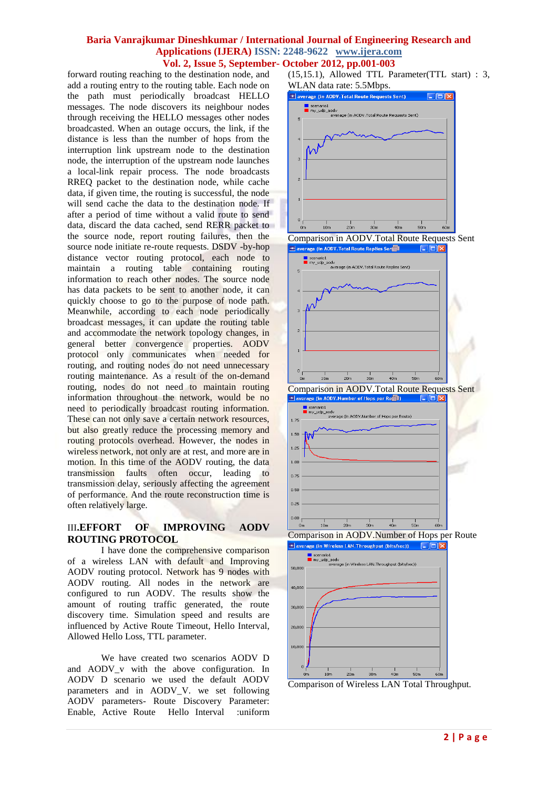#### **Baria Vanrajkumar Dineshkumar / International Journal of Engineering Research and Applications (IJERA) ISSN: 2248-9622 www.ijera.com Vol. 2, Issue 5, September- October 2012, pp.001-003**

forward routing reaching to the destination node, and add a routing entry to the routing table. Each node on the path must periodically broadcast HELLO messages. The node discovers its neighbour nodes through receiving the HELLO messages other nodes broadcasted. When an outage occurs, the link, if the distance is less than the number of hops from the interruption link upstream node to the destination node, the interruption of the upstream node launches a local-link repair process. The node broadcasts RREQ packet to the destination node, while cache data, if given time, the routing is successful, the node will send cache the data to the destination node. If after a period of time without a valid route to send data, discard the data cached, send RERR packet to the source node, report routing failures, then the source node initiate re-route requests. DSDV -by-hop distance vector routing protocol, each node to maintain a routing table containing routing information to reach other nodes. The source node has data packets to be sent to another node, it can quickly choose to go to the purpose of node path. Meanwhile, according to each node periodically broadcast messages, it can update the routing table and accommodate the network topology changes, in general better convergence properties. AODV protocol only communicates when needed for routing, and routing nodes do not need unnecessary routing maintenance. As a result of the on-demand routing, nodes do not need to maintain routing information throughout the network, would be no need to periodically broadcast routing information. These can not only save a certain network resources, but also greatly reduce the processing memory and routing protocols overhead. However, the nodes in wireless network, not only are at rest, and more are in motion. In this time of the AODV routing, the data transmission faults often occur, leading to transmission delay, seriously affecting the agreement of performance. And the route reconstruction time is often relatively large.

## III**.EFFORT OF IMPROVING AODV ROUTING PROTOCOL**

I have done the comprehensive comparison of a wireless LAN with default and Improving AODV routing protocol. Network has 9 nodes with AODV routing. All nodes in the network are configured to run AODV. The results show the amount of routing traffic generated, the route discovery time. Simulation speed and results are influenced by Active Route Timeout, Hello Interval, Allowed Hello Loss, TTL parameter.

We have created two scenarios AODV D and AODV\_v with the above configuration. In AODV D scenario we used the default AODV parameters and in AODV\_V. we set following AODV parameters- Route Discovery Parameter: Enable, Active Route Hello Interval :uniform

(15,15.1), Allowed TTL Parameter(TTL start) : 3, WLAN data rate: 5.5Mbps.



Comparison of Wireless LAN Total Throughput.